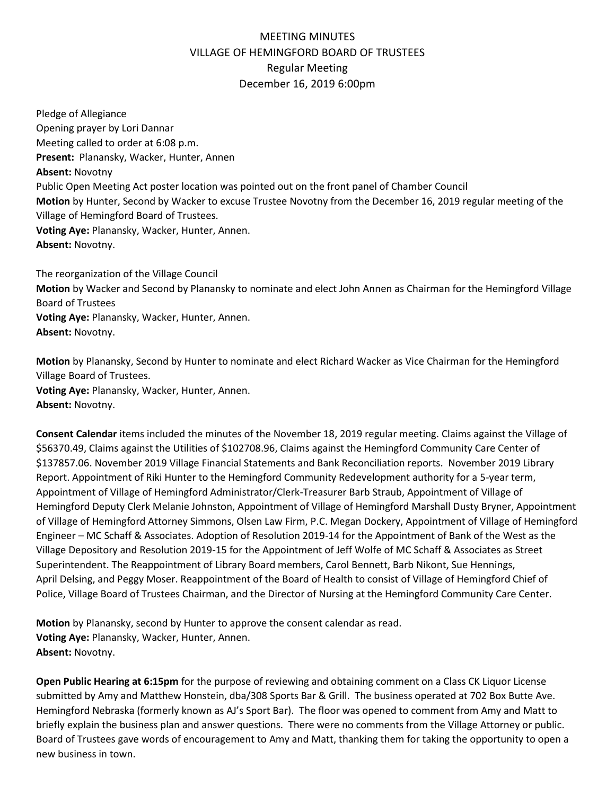## MEETING MINUTES VILLAGE OF HEMINGFORD BOARD OF TRUSTEES Regular Meeting December 16, 2019 6:00pm

Pledge of Allegiance Opening prayer by Lori Dannar Meeting called to order at 6:08 p.m. **Present:** Planansky, Wacker, Hunter, Annen **Absent:** Novotny Public Open Meeting Act poster location was pointed out on the front panel of Chamber Council **Motion** by Hunter, Second by Wacker to excuse Trustee Novotny from the December 16, 2019 regular meeting of the Village of Hemingford Board of Trustees. **Voting Aye:** Planansky, Wacker, Hunter, Annen. **Absent:** Novotny.

The reorganization of the Village Council **Motion** by Wacker and Second by Planansky to nominate and elect John Annen as Chairman for the Hemingford Village Board of Trustees **Voting Aye:** Planansky, Wacker, Hunter, Annen. **Absent:** Novotny.

**Motion** by Planansky, Second by Hunter to nominate and elect Richard Wacker as Vice Chairman for the Hemingford Village Board of Trustees. **Voting Aye:** Planansky, Wacker, Hunter, Annen. **Absent:** Novotny.

**Consent Calendar** items included the minutes of the November 18, 2019 regular meeting. Claims against the Village of \$56370.49, Claims against the Utilities of \$102708.96, Claims against the Hemingford Community Care Center of \$137857.06. November 2019 Village Financial Statements and Bank Reconciliation reports. November 2019 Library Report. Appointment of Riki Hunter to the Hemingford Community Redevelopment authority for a 5-year term, Appointment of Village of Hemingford Administrator/Clerk-Treasurer Barb Straub, Appointment of Village of Hemingford Deputy Clerk Melanie Johnston, Appointment of Village of Hemingford Marshall Dusty Bryner, Appointment of Village of Hemingford Attorney Simmons, Olsen Law Firm, P.C. Megan Dockery, Appointment of Village of Hemingford Engineer – MC Schaff & Associates. Adoption of Resolution 2019-14 for the Appointment of Bank of the West as the Village Depository and Resolution 2019-15 for the Appointment of Jeff Wolfe of MC Schaff & Associates as Street Superintendent. The Reappointment of Library Board members, Carol Bennett, Barb Nikont, Sue Hennings, April Delsing, and Peggy Moser. Reappointment of the Board of Health to consist of Village of Hemingford Chief of Police, Village Board of Trustees Chairman, and the Director of Nursing at the Hemingford Community Care Center.

**Motion** by Planansky, second by Hunter to approve the consent calendar as read. **Voting Aye:** Planansky, Wacker, Hunter, Annen. **Absent:** Novotny.

**Open Public Hearing at 6:15pm** for the purpose of reviewing and obtaining comment on a Class CK Liquor License submitted by Amy and Matthew Honstein, dba/308 Sports Bar & Grill. The business operated at 702 Box Butte Ave. Hemingford Nebraska (formerly known as AJ's Sport Bar). The floor was opened to comment from Amy and Matt to briefly explain the business plan and answer questions. There were no comments from the Village Attorney or public. Board of Trustees gave words of encouragement to Amy and Matt, thanking them for taking the opportunity to open a new business in town.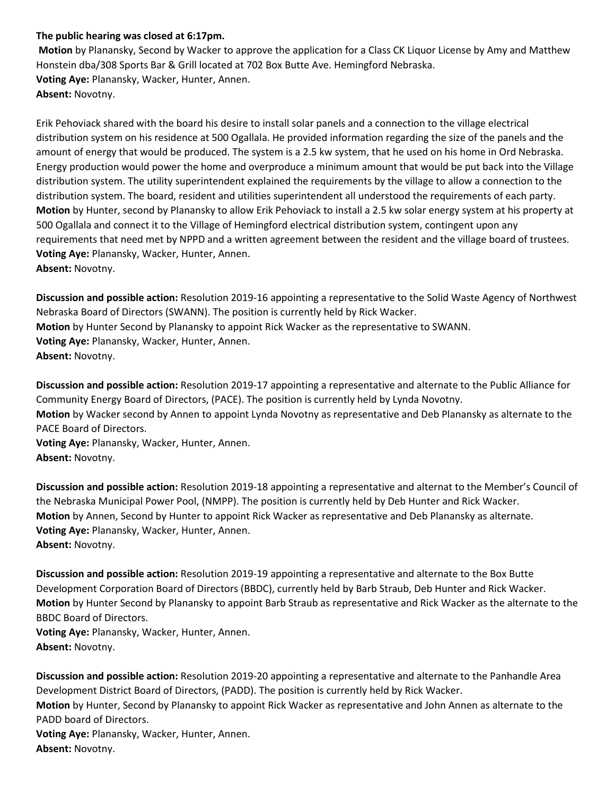## **The public hearing was closed at 6:17pm.**

**Motion** by Planansky, Second by Wacker to approve the application for a Class CK Liquor License by Amy and Matthew Honstein dba/308 Sports Bar & Grill located at 702 Box Butte Ave. Hemingford Nebraska. **Voting Aye:** Planansky, Wacker, Hunter, Annen. **Absent:** Novotny.

Erik Pehoviack shared with the board his desire to install solar panels and a connection to the village electrical distribution system on his residence at 500 Ogallala. He provided information regarding the size of the panels and the amount of energy that would be produced. The system is a 2.5 kw system, that he used on his home in Ord Nebraska. Energy production would power the home and overproduce a minimum amount that would be put back into the Village distribution system. The utility superintendent explained the requirements by the village to allow a connection to the distribution system. The board, resident and utilities superintendent all understood the requirements of each party. **Motion** by Hunter, second by Planansky to allow Erik Pehoviack to install a 2.5 kw solar energy system at his property at 500 Ogallala and connect it to the Village of Hemingford electrical distribution system, contingent upon any requirements that need met by NPPD and a written agreement between the resident and the village board of trustees. **Voting Aye:** Planansky, Wacker, Hunter, Annen. **Absent:** Novotny.

**Discussion and possible action:** Resolution 2019-16 appointing a representative to the Solid Waste Agency of Northwest Nebraska Board of Directors (SWANN). The position is currently held by Rick Wacker. **Motion** by Hunter Second by Planansky to appoint Rick Wacker as the representative to SWANN. **Voting Aye:** Planansky, Wacker, Hunter, Annen. **Absent:** Novotny.

**Discussion and possible action:** Resolution 2019-17 appointing a representative and alternate to the Public Alliance for Community Energy Board of Directors, (PACE). The position is currently held by Lynda Novotny. **Motion** by Wacker second by Annen to appoint Lynda Novotny as representative and Deb Planansky as alternate to the PACE Board of Directors. **Voting Aye:** Planansky, Wacker, Hunter, Annen.

**Absent:** Novotny.

**Discussion and possible action:** Resolution 2019-18 appointing a representative and alternat to the Member's Council of the Nebraska Municipal Power Pool, (NMPP). The position is currently held by Deb Hunter and Rick Wacker. **Motion** by Annen, Second by Hunter to appoint Rick Wacker as representative and Deb Planansky as alternate. **Voting Aye:** Planansky, Wacker, Hunter, Annen. **Absent:** Novotny.

**Discussion and possible action:** Resolution 2019-19 appointing a representative and alternate to the Box Butte Development Corporation Board of Directors (BBDC), currently held by Barb Straub, Deb Hunter and Rick Wacker. **Motion** by Hunter Second by Planansky to appoint Barb Straub as representative and Rick Wacker as the alternate to the BBDC Board of Directors.

**Voting Aye:** Planansky, Wacker, Hunter, Annen. **Absent:** Novotny.

**Discussion and possible action:** Resolution 2019-20 appointing a representative and alternate to the Panhandle Area Development District Board of Directors, (PADD). The position is currently held by Rick Wacker. **Motion** by Hunter, Second by Planansky to appoint Rick Wacker as representative and John Annen as alternate to the PADD board of Directors. **Voting Aye:** Planansky, Wacker, Hunter, Annen. **Absent:** Novotny.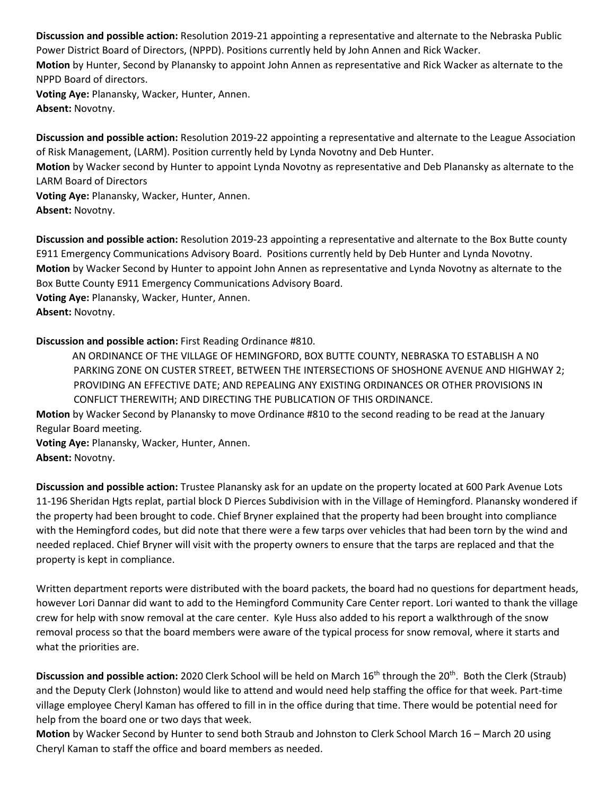**Discussion and possible action:** Resolution 2019-21 appointing a representative and alternate to the Nebraska Public Power District Board of Directors, (NPPD). Positions currently held by John Annen and Rick Wacker. **Motion** by Hunter, Second by Planansky to appoint John Annen as representative and Rick Wacker as alternate to the NPPD Board of directors. **Voting Aye:** Planansky, Wacker, Hunter, Annen. **Absent:** Novotny.

**Discussion and possible action:** Resolution 2019-22 appointing a representative and alternate to the League Association of Risk Management, (LARM). Position currently held by Lynda Novotny and Deb Hunter.

**Motion** by Wacker second by Hunter to appoint Lynda Novotny as representative and Deb Planansky as alternate to the LARM Board of Directors

**Voting Aye:** Planansky, Wacker, Hunter, Annen. **Absent:** Novotny.

**Discussion and possible action:** Resolution 2019-23 appointing a representative and alternate to the Box Butte county E911 Emergency Communications Advisory Board. Positions currently held by Deb Hunter and Lynda Novotny. **Motion** by Wacker Second by Hunter to appoint John Annen as representative and Lynda Novotny as alternate to the Box Butte County E911 Emergency Communications Advisory Board. **Voting Aye:** Planansky, Wacker, Hunter, Annen.

**Absent:** Novotny.

**Discussion and possible action:** First Reading Ordinance #810.

AN ORDINANCE OF THE VILLAGE OF HEMINGFORD, BOX BUTTE COUNTY, NEBRASKA TO ESTABLISH A N0 PARKING ZONE ON CUSTER STREET, BETWEEN THE INTERSECTIONS OF SHOSHONE AVENUE AND HIGHWAY 2; PROVIDING AN EFFECTIVE DATE; AND REPEALING ANY EXISTING ORDINANCES OR OTHER PROVISIONS IN CONFLICT THEREWITH; AND DIRECTING THE PUBLICATION OF THIS ORDINANCE.

**Motion** by Wacker Second by Planansky to move Ordinance #810 to the second reading to be read at the January Regular Board meeting.

**Voting Aye:** Planansky, Wacker, Hunter, Annen.

**Absent:** Novotny.

**Discussion and possible action:** Trustee Planansky ask for an update on the property located at 600 Park Avenue Lots 11-196 Sheridan Hgts replat, partial block D Pierces Subdivision with in the Village of Hemingford. Planansky wondered if the property had been brought to code. Chief Bryner explained that the property had been brought into compliance with the Hemingford codes, but did note that there were a few tarps over vehicles that had been torn by the wind and needed replaced. Chief Bryner will visit with the property owners to ensure that the tarps are replaced and that the property is kept in compliance.

Written department reports were distributed with the board packets, the board had no questions for department heads, however Lori Dannar did want to add to the Hemingford Community Care Center report. Lori wanted to thank the village crew for help with snow removal at the care center. Kyle Huss also added to his report a walkthrough of the snow removal process so that the board members were aware of the typical process for snow removal, where it starts and what the priorities are.

Discussion and possible action: 2020 Clerk School will be held on March 16<sup>th</sup> through the 20<sup>th</sup>. Both the Clerk (Straub) and the Deputy Clerk (Johnston) would like to attend and would need help staffing the office for that week. Part-time village employee Cheryl Kaman has offered to fill in in the office during that time. There would be potential need for help from the board one or two days that week.

**Motion** by Wacker Second by Hunter to send both Straub and Johnston to Clerk School March 16 – March 20 using Cheryl Kaman to staff the office and board members as needed.